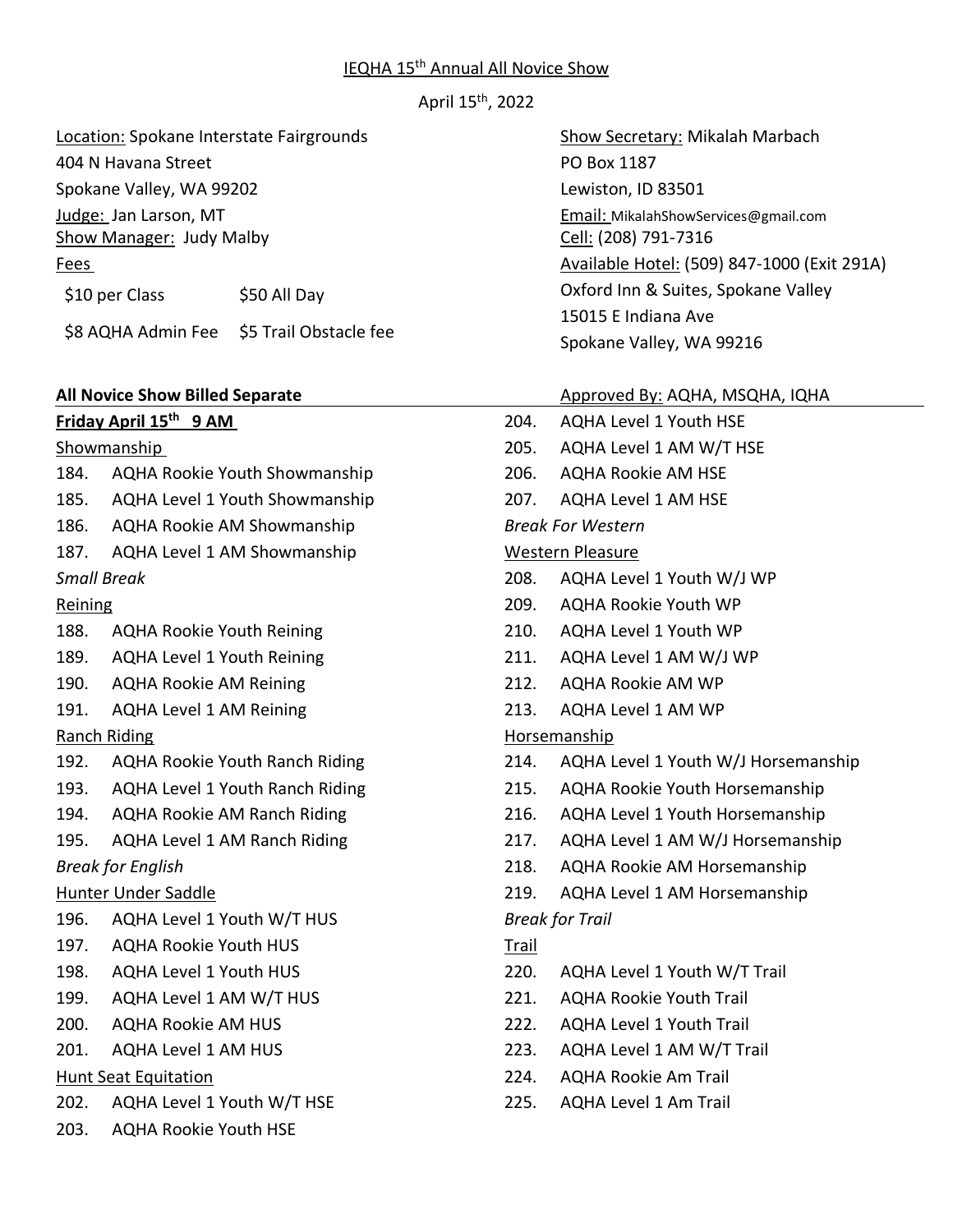#### IEQHA 15<sup>th</sup> Annual All Novice Show

April 15th, 2022

Location: Spokane Interstate Fairgrounds Show Secretary: Mikalah Marbach

404 N Havana Street **PO Box 1187** 

Spokane Valley, WA 99202 Lewiston, ID 83501

\$10 per Class \$50 All Day

\$8 AQHA Admin Fee \$5 Trail Obstacle fee

#### **Friday April 15th 9 AM**

#### Showmanship

- 184. AQHA Rookie Youth Showmanship
- 185. AQHA Level 1 Youth Showmanship
- 186. AQHA Rookie AM Showmanship
- 187. AQHA Level 1 AM Showmanship

## *Small Break*

## Reining

- 188. AQHA Rookie Youth Reining
- 189. AQHA Level 1 Youth Reining
- 190. AQHA Rookie AM Reining
- 191. AQHA Level 1 AM Reining

# Ranch Riding

- 192. AQHA Rookie Youth Ranch Riding
- 193. AQHA Level 1 Youth Ranch Riding
- 194. AQHA Rookie AM Ranch Riding
- 195. AQHA Level 1 AM Ranch Riding *Break for English*

# Hunter Under Saddle

- 196. AQHA Level 1 Youth W/T HUS
- 197. AQHA Rookie Youth HUS
- 198. AQHA Level 1 Youth HUS
- 199. AQHA Level 1 AM W/T HUS
- 200. AQHA Rookie AM HUS
- 201. AQHA Level 1 AM HUS

# Hunt Seat Equitation

- 202. AQHA Level 1 Youth W/T HSE
- 203. AQHA Rookie Youth HSE

Judge: Jan Larson, MT Email: MikalahShowServices@gmail.com Show Manager: Judy Malby Cell: (208) 791-7316 Fees Available Hotel: (509) 847-1000 (Exit 291A) Oxford Inn & Suites, Spokane Valley 15015 E Indiana Ave Spokane Valley, WA 99216

# **All Novice Show Billed Separate** Approved By: AQHA, MSQHA, IQHA

- 204. AQHA Level 1 Youth HSE
- 205. AQHA Level 1 AM W/T HSE
- 206. AQHA Rookie AM HSE
- 207. AQHA Level 1 AM HSE

## *Break For Western*

## Western Pleasure

- 208. AQHA Level 1 Youth W/J WP
- 209. AQHA Rookie Youth WP
- 210. AQHA Level 1 Youth WP
- 211. AQHA Level 1 AM W/J WP
- 212. AQHA Rookie AM WP
- 213. AQHA Level 1 AM WP

# Horsemanship

- 214. AQHA Level 1 Youth W/J Horsemanship
- 215. AQHA Rookie Youth Horsemanship
- 216. AQHA Level 1 Youth Horsemanship
- 217. AQHA Level 1 AM W/J Horsemanship
- 218. AQHA Rookie AM Horsemanship
- 219. AQHA Level 1 AM Horsemanship

# *Break for Trail*

- Trail
- 220. AQHA Level 1 Youth W/T Trail
- 221. AQHA Rookie Youth Trail
- 222. AQHA Level 1 Youth Trail
- 223. AQHA Level 1 AM W/T Trail
- 224. AQHA Rookie Am Trail
- 225. AQHA Level 1 Am Trail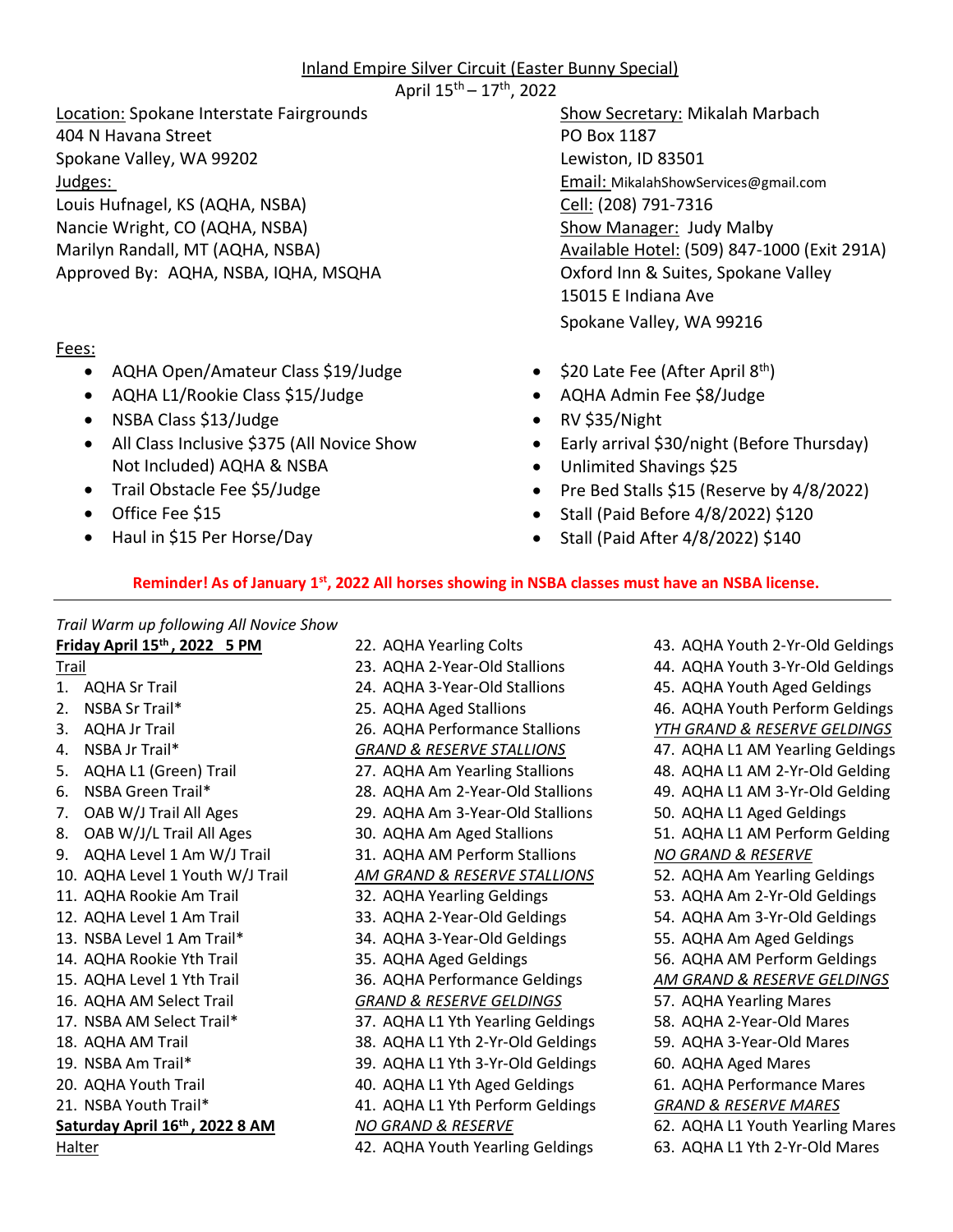# Inland Empire Silver Circuit (Easter Bunny Special)

April 15th – 17th, 2022

Location: Spokane Interstate Fairgrounds Show Secretary: Mikalah Marbach 404 N Havana Street **PO Box 1187** Spokane Valley, WA 99202 Lewiston, ID 83501 Judges: Email: MikalahShowServices@gmail.com Louis Hufnagel, KS (AQHA, NSBA) Cell: (208) 791-7316 Nancie Wright, CO (AQHA, NSBA) Show Manager: Judy Malby Approved By: AQHA, NSBA, IQHA, MSQHA COMENA Oxford Inn & Suites, Spokane Valley

## Fees:

- AQHA Open/Amateur Class \$19/Judge
- AQHA L1/Rookie Class \$15/Judge
- NSBA Class \$13/Judge
- All Class Inclusive \$375 (All Novice Show Not Included) AQHA & NSBA
- Trail Obstacle Fee \$5/Judge
- Office Fee \$15
- Haul in \$15 Per Horse/Day

Marilyn Randall, MT (AQHA, NSBA) **Auxiliable Hotel: (509) 847-1000 (Exit 291A**) 15015 E Indiana Ave Spokane Valley, WA 99216

- $$20$  Late Fee (After April  $8<sup>th</sup>$ )
- AQHA Admin Fee \$8/Judge
- RV \$35/Night
- Early arrival \$30/night (Before Thursday)
- Unlimited Shavings \$25
- Pre Bed Stalls \$15 (Reserve by 4/8/2022)
- Stall (Paid Before 4/8/2022) \$120
- Stall (Paid After 4/8/2022) \$140

## **Reminder! As of January 1st, 2022 All horses showing in NSBA classes must have an NSBA license.**

26. AQHA Performance Stallions

22. AQHA Yearling Colts 23. AQHA 2-Year-Old Stallions 24. AQHA 3-Year-Old Stallions 25. AQHA Aged Stallions

*Trail Warm up following All Novice Show*

**Friday April 15th , 2022 5 PM** Trail 1. AQHA Sr Trail 2. NSBA Sr Trail\*

- 3. AQHA Jr Trail
- 4. NSBA Jr Trail\*
- 5. AQHA L1 (Green) Trail
- 6. NSBA Green Trail\*
- 7. OAB W/J Trail All Ages
- 8. OAB W/J/L Trail All Ages
- 9. AQHA Level 1 Am W/J Trail
- 10. AQHA Level 1 Youth W/J Trail
- 11. AQHA Rookie Am Trail
- 12. AQHA Level 1 Am Trail
- 13. NSBA Level 1 Am Trail\*
- 14. AQHA Rookie Yth Trail
- 15. AQHA Level 1 Yth Trail
- 16. AQHA AM Select Trail
- 17. NSBA AM Select Trail\*
- 18. AQHA AM Trail
- 19. NSBA Am Trail\*
- 20. AQHA Youth Trail
- 21. NSBA Youth Trail\*
- **Saturday April 16th , 2022 8 AM**

**Halter** 

*GRAND & RESERVE STALLIONS*  27. AQHA Am Yearling Stallions 28. AQHA Am 2-Year-Old Stallions 29. AQHA Am 3-Year-Old Stallions 30. AQHA Am Aged Stallions 31. AQHA AM Perform Stallions *AM GRAND & RESERVE STALLIONS*  32. AQHA Yearling Geldings 33. AQHA 2-Year-Old Geldings 34. AQHA 3-Year-Old Geldings 35. AQHA Aged Geldings 36. AQHA Performance Geldings *GRAND & RESERVE GELDINGS*  37. AQHA L1 Yth Yearling Geldings 38. AQHA L1 Yth 2-Yr-Old Geldings 39. AQHA L1 Yth 3-Yr-Old Geldings 40. AQHA L1 Yth Aged Geldings 41. AQHA L1 Yth Perform Geldings *NO GRAND & RESERVE*  42. AQHA Youth Yearling Geldings

43. AQHA Youth 2-Yr-Old Geldings 44. AQHA Youth 3-Yr-Old Geldings 45. AQHA Youth Aged Geldings 46. AQHA Youth Perform Geldings *YTH GRAND & RESERVE GELDINGS*  47. AQHA L1 AM Yearling Geldings 48. AQHA L1 AM 2-Yr-Old Gelding 49. AQHA L1 AM 3-Yr-Old Gelding 50. AQHA L1 Aged Geldings 51. AQHA L1 AM Perform Gelding *NO GRAND & RESERVE*  52. AQHA Am Yearling Geldings 53. AQHA Am 2-Yr-Old Geldings 54. AQHA Am 3-Yr-Old Geldings 55. AQHA Am Aged Geldings 56. AQHA AM Perform Geldings *AM GRAND & RESERVE GELDINGS* 57. AQHA Yearling Mares 58. AQHA 2-Year-Old Mares 59. AQHA 3-Year-Old Mares 60. AQHA Aged Mares 61. AQHA Performance Mares *GRAND & RESERVE MARES* 62. AQHA L1 Youth Yearling Mares 63. AQHA L1 Yth 2-Yr-Old Mares